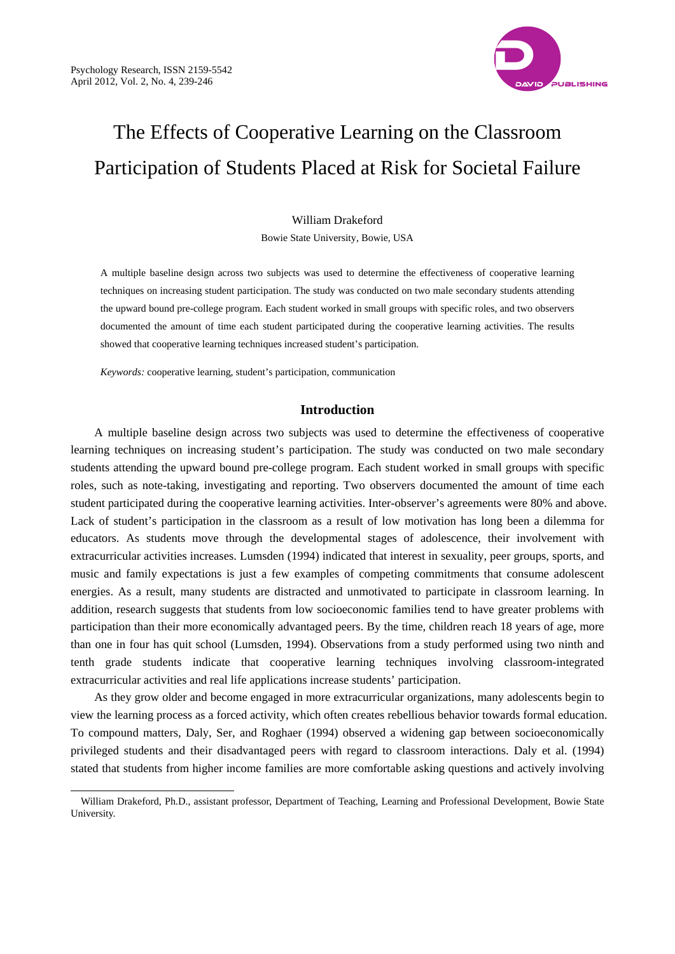

# The Effects of Cooperative Learning on the Classroom Participation of Students Placed at Risk for Societal Failure

# William Drakeford

Bowie State University, Bowie, USA

A multiple baseline design across two subjects was used to determine the effectiveness of cooperative learning techniques on increasing student participation. The study was conducted on two male secondary students attending the upward bound pre-college program. Each student worked in small groups with specific roles, and two observers documented the amount of time each student participated during the cooperative learning activities. The results showed that cooperative learning techniques increased student's participation.

*Keywords:* cooperative learning, student's participation, communication

# **Introduction**

A multiple baseline design across two subjects was used to determine the effectiveness of cooperative learning techniques on increasing student's participation. The study was conducted on two male secondary students attending the upward bound pre-college program. Each student worked in small groups with specific roles, such as note-taking, investigating and reporting. Two observers documented the amount of time each student participated during the cooperative learning activities. Inter-observer's agreements were 80% and above. Lack of student's participation in the classroom as a result of low motivation has long been a dilemma for educators. As students move through the developmental stages of adolescence, their involvement with extracurricular activities increases. Lumsden (1994) indicated that interest in sexuality, peer groups, sports, and music and family expectations is just a few examples of competing commitments that consume adolescent energies. As a result, many students are distracted and unmotivated to participate in classroom learning. In addition, research suggests that students from low socioeconomic families tend to have greater problems with participation than their more economically advantaged peers. By the time, children reach 18 years of age, more than one in four has quit school (Lumsden, 1994). Observations from a study performed using two ninth and tenth grade students indicate that cooperative learning techniques involving classroom-integrated extracurricular activities and real life applications increase students' participation.

As they grow older and become engaged in more extracurricular organizations, many adolescents begin to view the learning process as a forced activity, which often creates rebellious behavior towards formal education. To compound matters, Daly, Ser, and Roghaer (1994) observed a widening gap between socioeconomically privileged students and their disadvantaged peers with regard to classroom interactions. Daly et al. (1994) stated that students from higher income families are more comfortable asking questions and actively involving

 $\overline{a}$ William Drakeford, Ph.D., assistant professor, Department of Teaching, Learning and Professional Development, Bowie State University.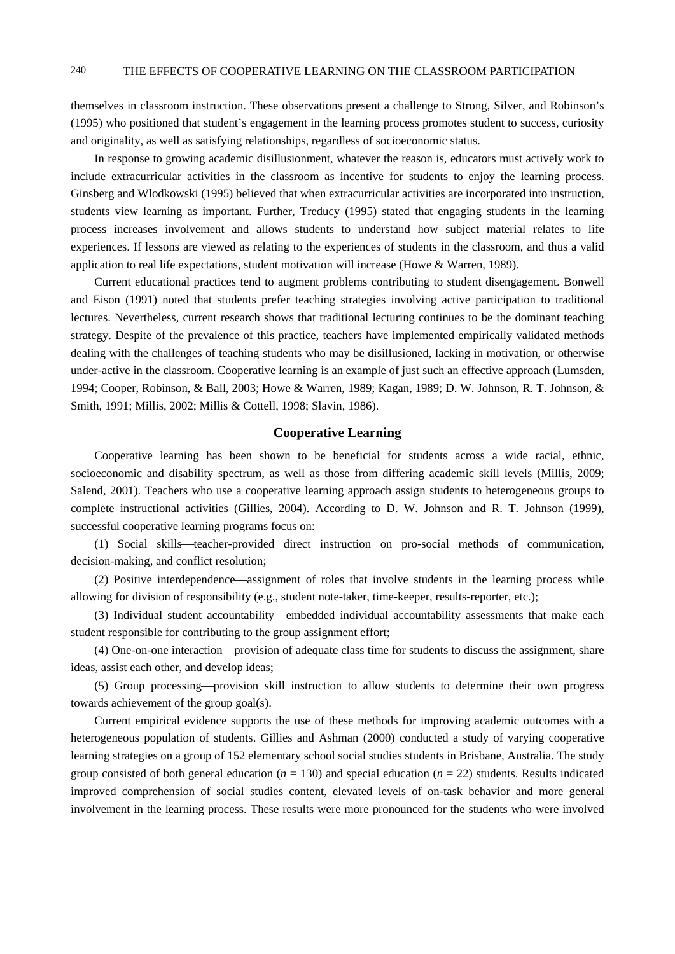# 240 THE EFFECTS OF COOPERATIVE LEARNING ON THE CLASSROOM PARTICIPATION

themselves in classroom instruction. These observations present a challenge to Strong, Silver, and Robinson's (1995) who positioned that student's engagement in the learning process promotes student to success, curiosity and originality, as well as satisfying relationships, regardless of socioeconomic status.

In response to growing academic disillusionment, whatever the reason is, educators must actively work to include extracurricular activities in the classroom as incentive for students to enjoy the learning process. Ginsberg and Wlodkowski (1995) believed that when extracurricular activities are incorporated into instruction, students view learning as important. Further, Treducy (1995) stated that engaging students in the learning process increases involvement and allows students to understand how subject material relates to life experiences. If lessons are viewed as relating to the experiences of students in the classroom, and thus a valid application to real life expectations, student motivation will increase (Howe & Warren, 1989).

Current educational practices tend to augment problems contributing to student disengagement. Bonwell and Eison (1991) noted that students prefer teaching strategies involving active participation to traditional lectures. Nevertheless, current research shows that traditional lecturing continues to be the dominant teaching strategy. Despite of the prevalence of this practice, teachers have implemented empirically validated methods dealing with the challenges of teaching students who may be disillusioned, lacking in motivation, or otherwise under-active in the classroom. Cooperative learning is an example of just such an effective approach (Lumsden, 1994; Cooper, Robinson, & Ball, 2003; Howe & Warren, 1989; Kagan, 1989; D. W. Johnson, R. T. Johnson, & Smith, 1991; Millis, 2002; Millis & Cottell, 1998; Slavin, 1986).

#### **Cooperative Learning**

Cooperative learning has been shown to be beneficial for students across a wide racial, ethnic, socioeconomic and disability spectrum, as well as those from differing academic skill levels (Millis, 2009; Salend, 2001). Teachers who use a cooperative learning approach assign students to heterogeneous groups to complete instructional activities (Gillies, 2004). According to D. W. Johnson and R. T. Johnson (1999), successful cooperative learning programs focus on:

(1) Social skills—teacher-provided direct instruction on pro-social methods of communication, decision-making, and conflict resolution;

(2) Positive interdependence—assignment of roles that involve students in the learning process while allowing for division of responsibility (e.g., student note-taker, time-keeper, results-reporter, etc.);

(3) Individual student accountability—embedded individual accountability assessments that make each student responsible for contributing to the group assignment effort;

(4) One-on-one interaction—provision of adequate class time for students to discuss the assignment, share ideas, assist each other, and develop ideas;

(5) Group processing—provision skill instruction to allow students to determine their own progress towards achievement of the group goal(s).

Current empirical evidence supports the use of these methods for improving academic outcomes with a heterogeneous population of students. Gillies and Ashman (2000) conducted a study of varying cooperative learning strategies on a group of 152 elementary school social studies students in Brisbane, Australia. The study group consisted of both general education ( $n = 130$ ) and special education ( $n = 22$ ) students. Results indicated improved comprehension of social studies content, elevated levels of on-task behavior and more general involvement in the learning process. These results were more pronounced for the students who were involved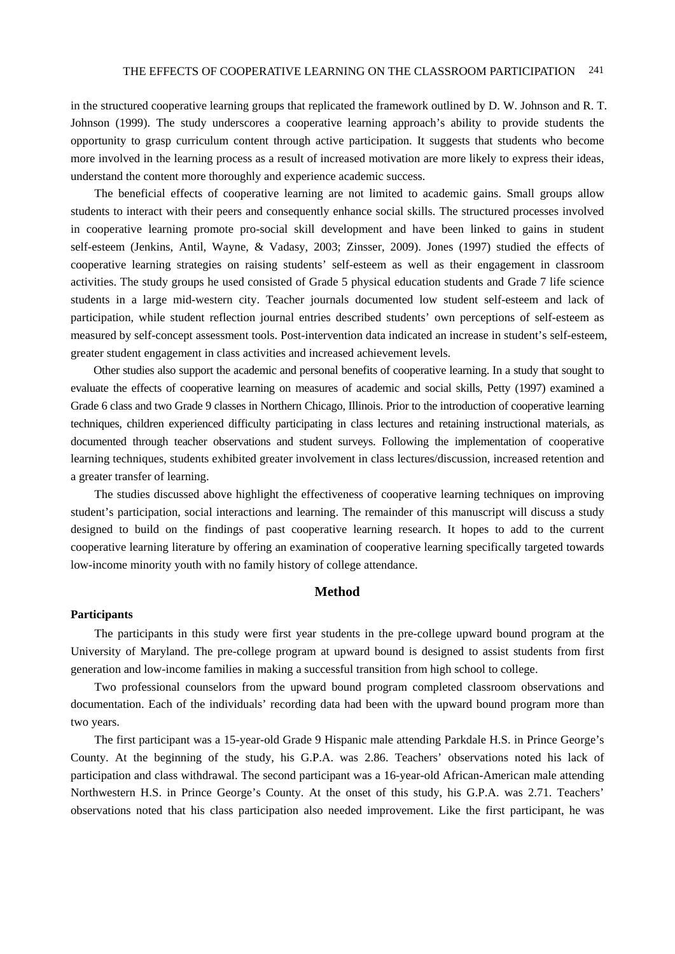in the structured cooperative learning groups that replicated the framework outlined by D. W. Johnson and R. T. Johnson (1999). The study underscores a cooperative learning approach's ability to provide students the opportunity to grasp curriculum content through active participation. It suggests that students who become more involved in the learning process as a result of increased motivation are more likely to express their ideas, understand the content more thoroughly and experience academic success.

The beneficial effects of cooperative learning are not limited to academic gains. Small groups allow students to interact with their peers and consequently enhance social skills. The structured processes involved in cooperative learning promote pro-social skill development and have been linked to gains in student self-esteem (Jenkins, Antil, Wayne, & Vadasy, 2003; Zinsser, 2009). Jones (1997) studied the effects of cooperative learning strategies on raising students' self-esteem as well as their engagement in classroom activities. The study groups he used consisted of Grade 5 physical education students and Grade 7 life science students in a large mid-western city. Teacher journals documented low student self-esteem and lack of participation, while student reflection journal entries described students' own perceptions of self-esteem as measured by self-concept assessment tools. Post-intervention data indicated an increase in student's self-esteem, greater student engagement in class activities and increased achievement levels.

Other studies also support the academic and personal benefits of cooperative learning. In a study that sought to evaluate the effects of cooperative learning on measures of academic and social skills, Petty (1997) examined a Grade 6 class and two Grade 9 classes in Northern Chicago, Illinois. Prior to the introduction of cooperative learning techniques, children experienced difficulty participating in class lectures and retaining instructional materials, as documented through teacher observations and student surveys. Following the implementation of cooperative learning techniques, students exhibited greater involvement in class lectures/discussion, increased retention and a greater transfer of learning.

The studies discussed above highlight the effectiveness of cooperative learning techniques on improving student's participation, social interactions and learning. The remainder of this manuscript will discuss a study designed to build on the findings of past cooperative learning research. It hopes to add to the current cooperative learning literature by offering an examination of cooperative learning specifically targeted towards low-income minority youth with no family history of college attendance.

### **Method**

# **Participants**

The participants in this study were first year students in the pre-college upward bound program at the University of Maryland. The pre-college program at upward bound is designed to assist students from first generation and low-income families in making a successful transition from high school to college.

Two professional counselors from the upward bound program completed classroom observations and documentation. Each of the individuals' recording data had been with the upward bound program more than two years.

The first participant was a 15-year-old Grade 9 Hispanic male attending Parkdale H.S. in Prince George's County. At the beginning of the study, his G.P.A. was 2.86. Teachers' observations noted his lack of participation and class withdrawal. The second participant was a 16-year-old African-American male attending Northwestern H.S. in Prince George's County. At the onset of this study, his G.P.A. was 2.71. Teachers' observations noted that his class participation also needed improvement. Like the first participant, he was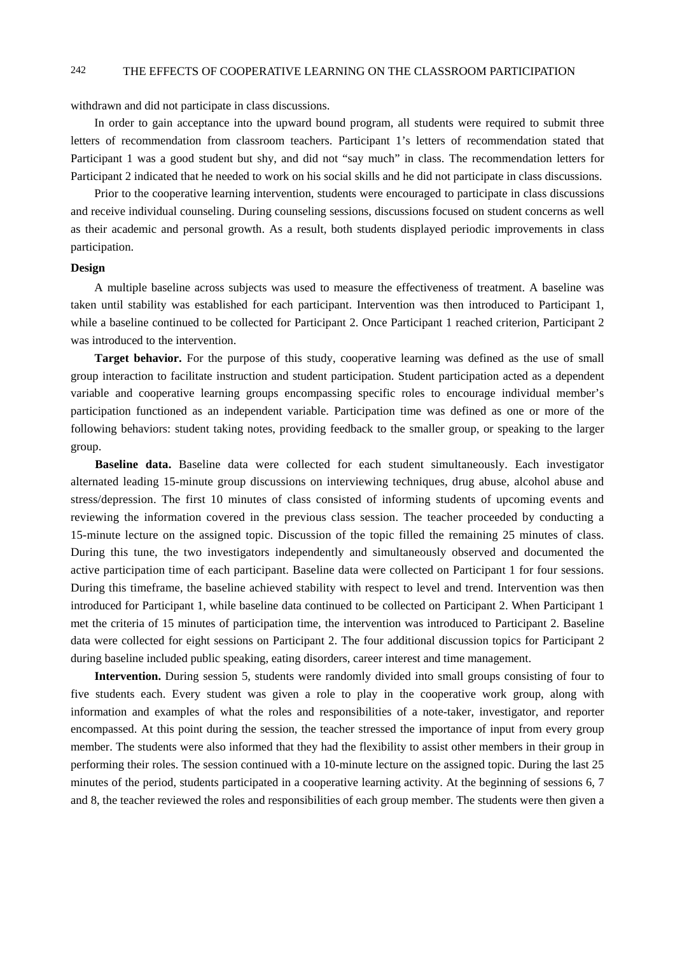# 242 THE EFFECTS OF COOPERATIVE LEARNING ON THE CLASSROOM PARTICIPATION

withdrawn and did not participate in class discussions.

In order to gain acceptance into the upward bound program, all students were required to submit three letters of recommendation from classroom teachers. Participant 1's letters of recommendation stated that Participant 1 was a good student but shy, and did not "say much" in class. The recommendation letters for Participant 2 indicated that he needed to work on his social skills and he did not participate in class discussions.

Prior to the cooperative learning intervention, students were encouraged to participate in class discussions and receive individual counseling. During counseling sessions, discussions focused on student concerns as well as their academic and personal growth. As a result, both students displayed periodic improvements in class participation.

#### **Design**

A multiple baseline across subjects was used to measure the effectiveness of treatment. A baseline was taken until stability was established for each participant. Intervention was then introduced to Participant 1, while a baseline continued to be collected for Participant 2. Once Participant 1 reached criterion, Participant 2 was introduced to the intervention.

**Target behavior.** For the purpose of this study, cooperative learning was defined as the use of small group interaction to facilitate instruction and student participation. Student participation acted as a dependent variable and cooperative learning groups encompassing specific roles to encourage individual member's participation functioned as an independent variable. Participation time was defined as one or more of the following behaviors: student taking notes, providing feedback to the smaller group, or speaking to the larger group.

**Baseline data.** Baseline data were collected for each student simultaneously. Each investigator alternated leading 15-minute group discussions on interviewing techniques, drug abuse, alcohol abuse and stress/depression. The first 10 minutes of class consisted of informing students of upcoming events and reviewing the information covered in the previous class session. The teacher proceeded by conducting a 15-minute lecture on the assigned topic. Discussion of the topic filled the remaining 25 minutes of class. During this tune, the two investigators independently and simultaneously observed and documented the active participation time of each participant. Baseline data were collected on Participant 1 for four sessions. During this timeframe, the baseline achieved stability with respect to level and trend. Intervention was then introduced for Participant 1, while baseline data continued to be collected on Participant 2. When Participant 1 met the criteria of 15 minutes of participation time, the intervention was introduced to Participant 2. Baseline data were collected for eight sessions on Participant 2. The four additional discussion topics for Participant 2 during baseline included public speaking, eating disorders, career interest and time management.

**Intervention.** During session 5, students were randomly divided into small groups consisting of four to five students each. Every student was given a role to play in the cooperative work group, along with information and examples of what the roles and responsibilities of a note-taker, investigator, and reporter encompassed. At this point during the session, the teacher stressed the importance of input from every group member. The students were also informed that they had the flexibility to assist other members in their group in performing their roles. The session continued with a 10-minute lecture on the assigned topic. During the last 25 minutes of the period, students participated in a cooperative learning activity. At the beginning of sessions 6, 7 and 8, the teacher reviewed the roles and responsibilities of each group member. The students were then given a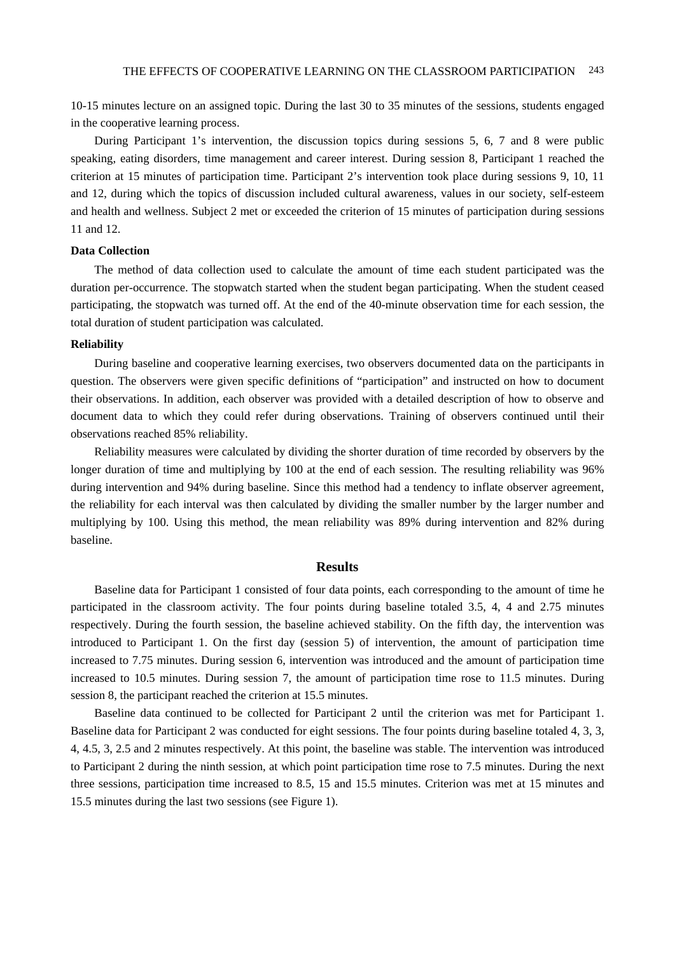10-15 minutes lecture on an assigned topic. During the last 30 to 35 minutes of the sessions, students engaged in the cooperative learning process.

During Participant 1's intervention, the discussion topics during sessions 5, 6, 7 and 8 were public speaking, eating disorders, time management and career interest. During session 8, Participant 1 reached the criterion at 15 minutes of participation time. Participant 2's intervention took place during sessions 9, 10, 11 and 12, during which the topics of discussion included cultural awareness, values in our society, self-esteem and health and wellness. Subject 2 met or exceeded the criterion of 15 minutes of participation during sessions 11 and 12.

#### **Data Collection**

The method of data collection used to calculate the amount of time each student participated was the duration per-occurrence. The stopwatch started when the student began participating. When the student ceased participating, the stopwatch was turned off. At the end of the 40-minute observation time for each session, the total duration of student participation was calculated.

#### **Reliability**

During baseline and cooperative learning exercises, two observers documented data on the participants in question. The observers were given specific definitions of "participation" and instructed on how to document their observations. In addition, each observer was provided with a detailed description of how to observe and document data to which they could refer during observations. Training of observers continued until their observations reached 85% reliability.

Reliability measures were calculated by dividing the shorter duration of time recorded by observers by the longer duration of time and multiplying by 100 at the end of each session. The resulting reliability was 96% during intervention and 94% during baseline. Since this method had a tendency to inflate observer agreement, the reliability for each interval was then calculated by dividing the smaller number by the larger number and multiplying by 100. Using this method, the mean reliability was 89% during intervention and 82% during baseline.

# **Results**

Baseline data for Participant 1 consisted of four data points, each corresponding to the amount of time he participated in the classroom activity. The four points during baseline totaled 3.5, 4, 4 and 2.75 minutes respectively. During the fourth session, the baseline achieved stability. On the fifth day, the intervention was introduced to Participant 1. On the first day (session 5) of intervention, the amount of participation time increased to 7.75 minutes. During session 6, intervention was introduced and the amount of participation time increased to 10.5 minutes. During session 7, the amount of participation time rose to 11.5 minutes. During session 8, the participant reached the criterion at 15.5 minutes.

Baseline data continued to be collected for Participant 2 until the criterion was met for Participant 1. Baseline data for Participant 2 was conducted for eight sessions. The four points during baseline totaled 4, 3, 3, 4, 4.5, 3, 2.5 and 2 minutes respectively. At this point, the baseline was stable. The intervention was introduced to Participant 2 during the ninth session, at which point participation time rose to 7.5 minutes. During the next three sessions, participation time increased to 8.5, 15 and 15.5 minutes. Criterion was met at 15 minutes and 15.5 minutes during the last two sessions (see Figure 1).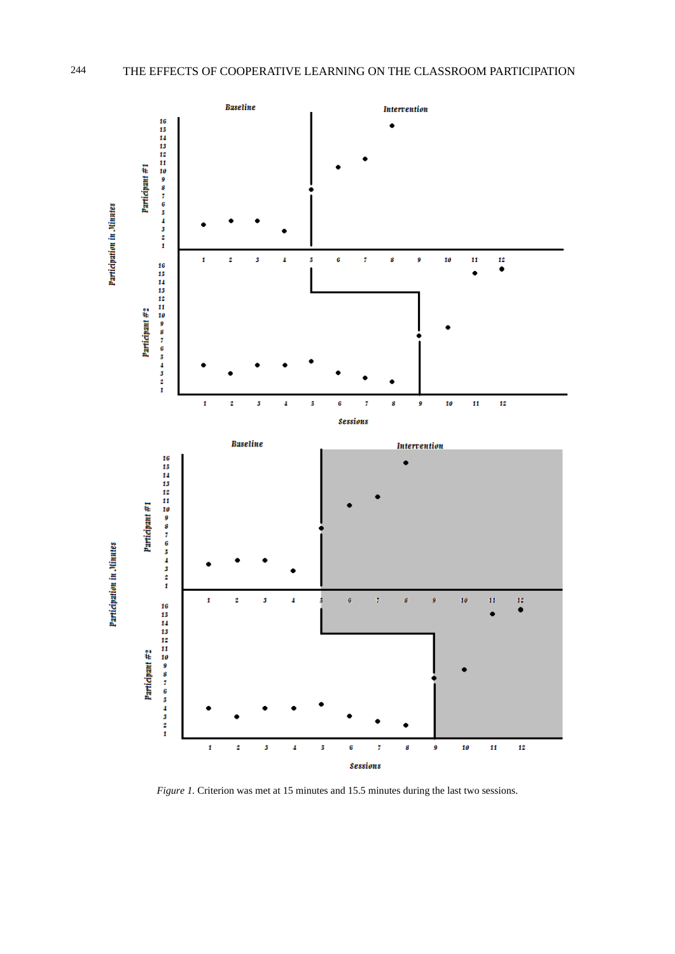

*Figure 1.* Criterion was met at 15 minutes and 15.5 minutes during the last two sessions.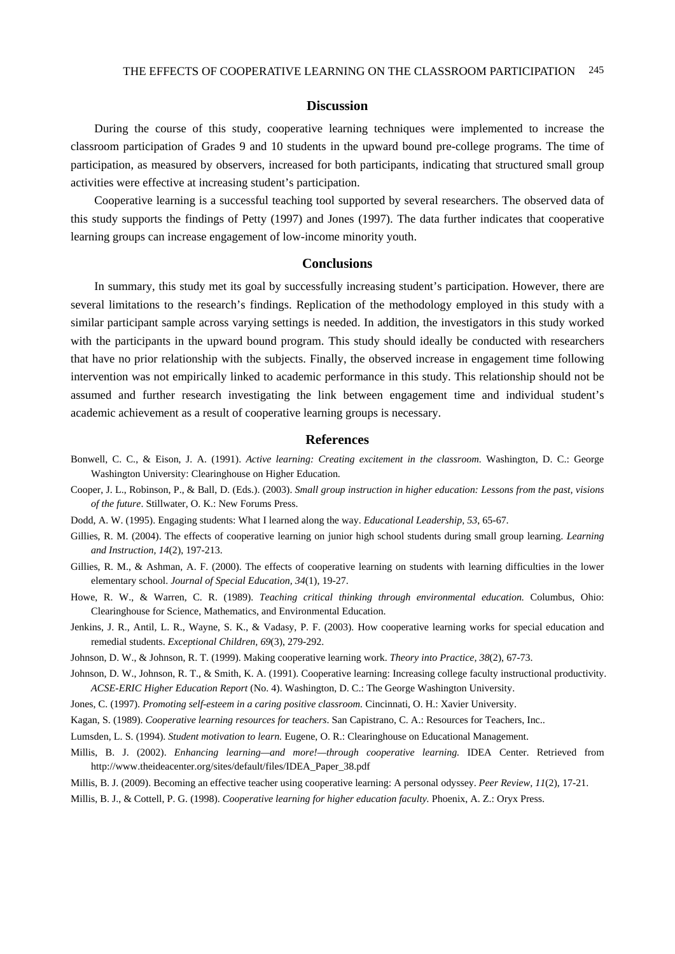# **Discussion**

During the course of this study, cooperative learning techniques were implemented to increase the classroom participation of Grades 9 and 10 students in the upward bound pre-college programs. The time of participation, as measured by observers, increased for both participants, indicating that structured small group activities were effective at increasing student's participation.

Cooperative learning is a successful teaching tool supported by several researchers. The observed data of this study supports the findings of Petty (1997) and Jones (1997). The data further indicates that cooperative learning groups can increase engagement of low-income minority youth.

#### **Conclusions**

In summary, this study met its goal by successfully increasing student's participation. However, there are several limitations to the research's findings. Replication of the methodology employed in this study with a similar participant sample across varying settings is needed. In addition, the investigators in this study worked with the participants in the upward bound program. This study should ideally be conducted with researchers that have no prior relationship with the subjects. Finally, the observed increase in engagement time following intervention was not empirically linked to academic performance in this study. This relationship should not be assumed and further research investigating the link between engagement time and individual student's academic achievement as a result of cooperative learning groups is necessary.

# **References**

- Bonwell, C. C., & Eison, J. A. (1991). *Active learning: Creating excitement in the classroom.* Washington, D. C.: George Washington University: Clearinghouse on Higher Education.
- Cooper, J. L., Robinson, P., & Ball, D. (Eds.). (2003). *Small group instruction in higher education: Lessons from the past, visions of the future*. Stillwater, O. K.: New Forums Press.
- Dodd, A. W. (1995). Engaging students: What I learned along the way. *Educational Leadership, 53*, 65-67.
- Gillies, R. M. (2004). The effects of cooperative learning on junior high school students during small group learning. *Learning and Instruction, 14*(2), 197-213.
- Gillies, R. M., & Ashman, A. F. (2000). The effects of cooperative learning on students with learning difficulties in the lower elementary school. *Journal of Special Education, 34*(1), 19-27.
- Howe, R. W., & Warren, C. R. (1989). *Teaching critical thinking through environmental education.* Columbus, Ohio: Clearinghouse for Science, Mathematics, and Environmental Education.
- Jenkins, J. R., Antil, L. R., Wayne, S. K., & Vadasy, P. F. (2003). How cooperative learning works for special education and remedial students. *Exceptional Children, 69*(3), 279-292.
- Johnson, D. W., & Johnson, R. T. (1999). Making cooperative learning work. *Theory into Practice, 38*(2), 67-73.
- Johnson, D. W., Johnson, R. T., & Smith, K. A. (1991). Cooperative learning: Increasing college faculty instructional productivity. *ACSE-ERIC Higher Education Report* (No. 4). Washington, D. C.: The George Washington University.
- Jones, C. (1997). *Promoting self-esteem in a caring positive classroom.* Cincinnati, O. H.: Xavier University.
- Kagan, S. (1989). *Cooperative learning resources for teachers*. San Capistrano, C. A.: Resources for Teachers, Inc..
- Lumsden, L. S. (1994). *Student motivation to learn.* Eugene, O. R.: Clearinghouse on Educational Management.
- Millis, B. J. (2002). *Enhancing learning—and more!—through cooperative learning.* IDEA Center. Retrieved from http://www.theideacenter.org/sites/default/files/IDEA\_Paper\_38.pdf
- Millis, B. J. (2009). Becoming an effective teacher using cooperative learning: A personal odyssey. *Peer Review, 11*(2), 17-21.

Millis, B. J., & Cottell, P. G. (1998). *Cooperative learning for higher education faculty.* Phoenix, A. Z.: Oryx Press.